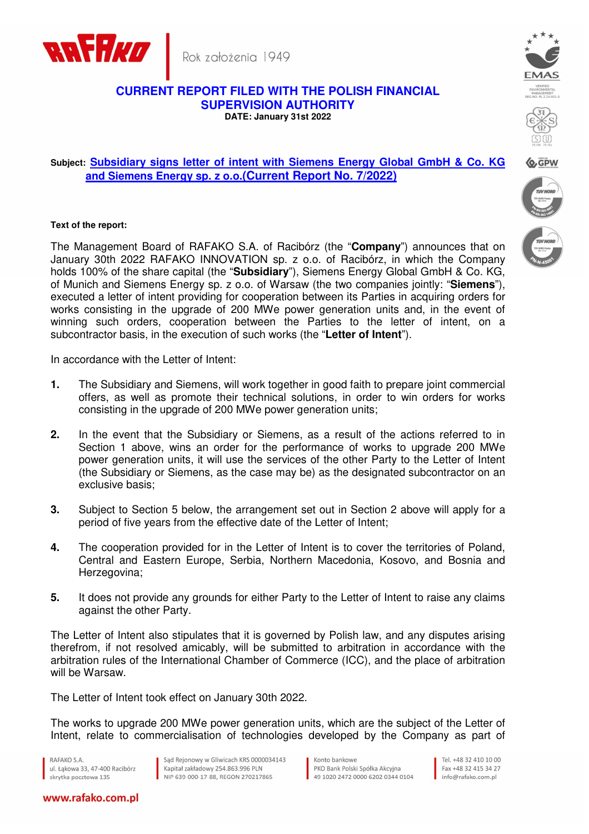

Rok założenia 1949

## **CURRENT REPORT FILED WITH THE POLISH FINANCIAL SUPERVISION AUTHORITY DATE: January 31st 2022**





**Q, GPW** 

## **Subject: Subsidiary signs letter of intent with Siemens Energy Global GmbH & Co. KG and Siemens Energy sp. z o.o.(Current Report No. 7/2022)**

## **Text of the report:**

The Management Board of RAFAKO S.A. of Racibórz (the "**Company**") announces that on January 30th 2022 RAFAKO INNOVATION sp. z o.o. of Racibórz, in which the Company holds 100% of the share capital (the "**Subsidiary**"), Siemens Energy Global GmbH & Co. KG, of Munich and Siemens Energy sp. z o.o. of Warsaw (the two companies jointly: "**Siemens**"), executed a letter of intent providing for cooperation between its Parties in acquiring orders for works consisting in the upgrade of 200 MWe power generation units and, in the event of winning such orders, cooperation between the Parties to the letter of intent, on a subcontractor basis, in the execution of such works (the "**Letter of Intent**").

In accordance with the Letter of Intent:

- **1.** The Subsidiary and Siemens, will work together in good faith to prepare joint commercial offers, as well as promote their technical solutions, in order to win orders for works consisting in the upgrade of 200 MWe power generation units;
- **2.** In the event that the Subsidiary or Siemens, as a result of the actions referred to in Section 1 above, wins an order for the performance of works to upgrade 200 MWe power generation units, it will use the services of the other Party to the Letter of Intent (the Subsidiary or Siemens, as the case may be) as the designated subcontractor on an exclusive basis;
- **3.** Subject to Section 5 below, the arrangement set out in Section 2 above will apply for a period of five years from the effective date of the Letter of Intent;
- **4.** The cooperation provided for in the Letter of Intent is to cover the territories of Poland, Central and Eastern Europe, Serbia, Northern Macedonia, Kosovo, and Bosnia and Herzegovina;
- **5.** It does not provide any grounds for either Party to the Letter of Intent to raise any claims against the other Party.

The Letter of Intent also stipulates that it is governed by Polish law, and any disputes arising therefrom, if not resolved amicably, will be submitted to arbitration in accordance with the arbitration rules of the International Chamber of Commerce (ICC), and the place of arbitration will be Warsaw.

The Letter of Intent took effect on January 30th 2022.

The works to upgrade 200 MWe power generation units, which are the subject of the Letter of Intent, relate to commercialisation of technologies developed by the Company as part of

RAFAKO S.A. ul, Łakowa 33, 47-400 Racibórz skrytka pocztowa 135

Sąd Rejonowy w Gliwicach KRS 0000034143 Kapitał zakładowy 254.863.996 PLN NIP 639-000-17-88, REGON 270217865

Konto bankowe PKO Bank Polski Spółka Akcyina 49 1020 2472 0000 6202 0344 0104

Tel +48 32 410 10 00 Fax +48 32 415 34 27 info@rafako.com.pl